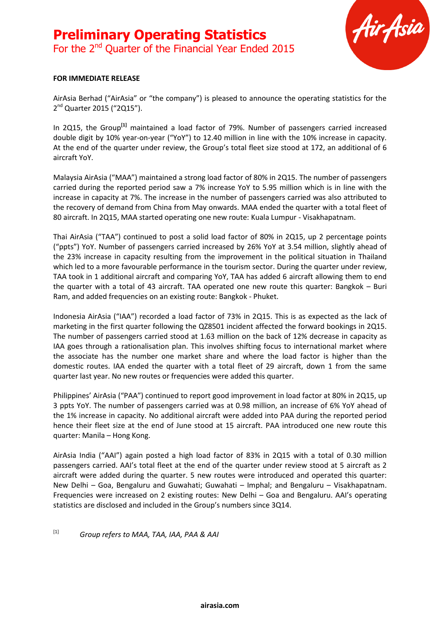

#### **FOR IMMEDIATE RELEASE**

AirAsia Berhad ("AirAsia" or "the company") is pleased to announce the operating statistics for the 2<sup>nd</sup> Quarter 2015 ("2Q15").

In 2Q15, the Group**[1]** maintained a load factor of 79%. Number of passengers carried increased double digit by 10% year-on-year ("YoY") to 12.40 million in line with the 10% increase in capacity. At the end of the quarter under review, the Group's total fleet size stood at 172, an additional of 6 aircraft YoY.

Malaysia AirAsia ("MAA") maintained a strong load factor of 80% in 2Q15. The number of passengers carried during the reported period saw a 7% increase YoY to 5.95 million which is in line with the increase in capacity at 7%. The increase in the number of passengers carried was also attributed to the recovery of demand from China from May onwards. MAA ended the quarter with a total fleet of 80 aircraft. In 2Q15, MAA started operating one new route: Kuala Lumpur - Visakhapatnam.

Thai AirAsia ("TAA") continued to post a solid load factor of 80% in 2Q15, up 2 percentage points ("ppts") YoY. Number of passengers carried increased by 26% YoY at 3.54 million, slightly ahead of the 23% increase in capacity resulting from the improvement in the political situation in Thailand which led to a more favourable performance in the tourism sector. During the quarter under review, TAA took in 1 additional aircraft and comparing YoY, TAA has added 6 aircraft allowing them to end the quarter with a total of 43 aircraft. TAA operated one new route this quarter: Bangkok – Buri Ram, and added frequencies on an existing route: Bangkok - Phuket.

Indonesia AirAsia ("IAA") recorded a load factor of 73% in 2Q15. This is as expected as the lack of marketing in the first quarter following the QZ8501 incident affected the forward bookings in 2Q15. The number of passengers carried stood at 1.63 million on the back of 12% decrease in capacity as IAA goes through a rationalisation plan. This involves shifting focus to international market where the associate has the number one market share and where the load factor is higher than the domestic routes. IAA ended the quarter with a total fleet of 29 aircraft, down 1 from the same quarter last year. No new routes or frequencies were added this quarter.

Philippines' AirAsia ("PAA") continued to report good improvement in load factor at 80% in 2Q15, up 3 ppts YoY. The number of passengers carried was at 0.98 million, an increase of 6% YoY ahead of the 1% increase in capacity. No additional aircraft were added into PAA during the reported period hence their fleet size at the end of June stood at 15 aircraft. PAA introduced one new route this quarter: Manila – Hong Kong.

AirAsia India ("AAI") again posted a high load factor of 83% in 2Q15 with a total of 0.30 million passengers carried. AAI's total fleet at the end of the quarter under review stood at 5 aircraft as 2 aircraft were added during the quarter. 5 new routes were introduced and operated this quarter: New Delhi – Goa, Bengaluru and Guwahati; Guwahati – Imphal; and Bengaluru – Visakhapatnam. Frequencies were increased on 2 existing routes: New Delhi – Goa and Bengaluru. AAI's operating statistics are disclosed and included in the Group's numbers since 3Q14.

# [1] *Group refers to MAA, TAA, IAA, PAA & AAI*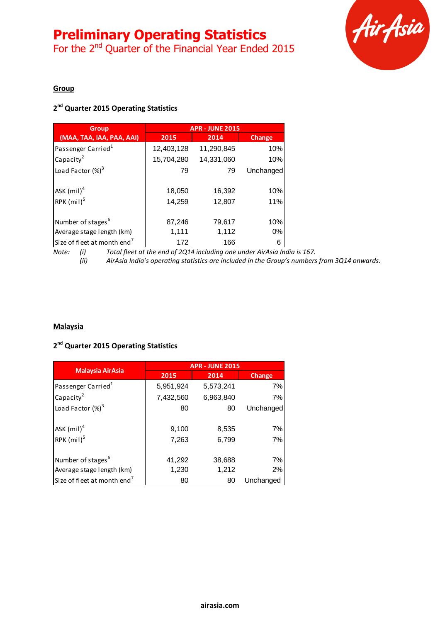# **Preliminary Operating Statistics**

For the 2<sup>nd</sup> Quarter of the Financial Year Ended 2015



#### **Group**

# **2 nd Quarter 2015 Operating Statistics**

| <b>Group</b>                            | <b>APR - JUNE 2015</b> |            |           |  |
|-----------------------------------------|------------------------|------------|-----------|--|
| (MAA, TAA, IAA, PAA, AAI)               | 2015                   | 2014       |           |  |
| Passenger Carried <sup>1</sup>          | 12,403,128             | 11,290,845 | 10%       |  |
| Capacity <sup>2</sup>                   | 15,704,280             | 14,331,060 | 10%       |  |
| Load Factor $(\%)^3$                    | 79                     | 79         | Unchanged |  |
| ASK $(mil)^4$                           | 18,050                 | 16,392     | 10%       |  |
| RPK (mil) <sup>5</sup>                  | 14,259                 | 12,807     | 11%       |  |
| Number of stages <sup>6</sup>           | 87,246                 | 79,617     | 10%       |  |
| Average stage length (km)               | 1,111                  | 1,112      | 0%        |  |
| Size of fleet at month end <sup>7</sup> | 172                    | 166        | 6         |  |

*Note: (i) Total fleet at the end of 2Q14 including one under AirAsia India is 167. (ii) AirAsia India's operating statistics are included in the Group's numbers from 3Q14 onwards.*

### **Malaysia**

### **2 nd Quarter 2015 Operating Statistics**

|                                         | <b>APR - JUNE 2015</b> |           |               |  |
|-----------------------------------------|------------------------|-----------|---------------|--|
| <b>Malaysia AirAsia</b>                 | 2015                   | 2014      | <b>Change</b> |  |
| Passenger Carried <sup>1</sup>          | 5,951,924              | 5,573,241 | 7%            |  |
| Capacity <sup>2</sup>                   | 7,432,560              | 6,963,840 | 7%            |  |
| Load Factor $(\%)^3$                    | 80                     | 80        | Unchanged     |  |
| ASK $(mil)^4$                           | 9,100                  | 8,535     | 7%            |  |
| RPK $(mil)^5$                           | 7,263                  | 6,799     | 7%            |  |
| Number of stages <sup>6</sup>           | 41,292                 | 38,688    | 7%            |  |
| Average stage length (km)               | 1,230                  | 1,212     | 2%            |  |
| Size of fleet at month end <sup>7</sup> | 80                     | 80        | Unchanged     |  |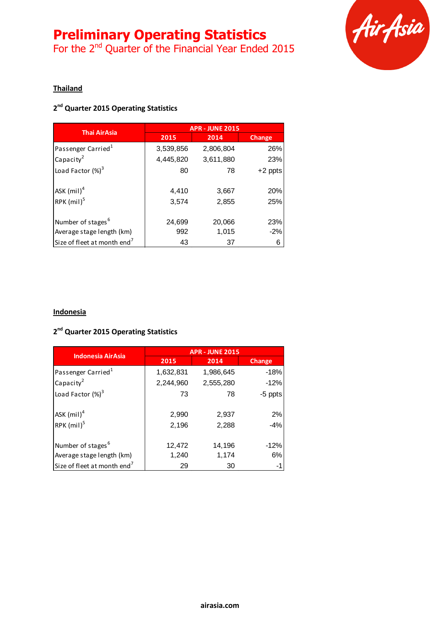# **Preliminary Operating Statistics**

For the 2<sup>nd</sup> Quarter of the Financial Year Ended 2015



#### **Thailand**

# **2 nd Quarter 2015 Operating Statistics**

| <b>Thai AirAsia</b>                     | <b>APR - JUNE 2015</b> |           |           |
|-----------------------------------------|------------------------|-----------|-----------|
|                                         | 2015                   | 2014      | Change    |
| Passenger Carried <sup>1</sup>          | 3,539,856              | 2,806,804 | 26%       |
| Capacity <sup>2</sup>                   | 4,445,820              | 3,611,880 | 23%       |
| Load Factor $(\%)^3$                    | 80                     | 78        | $+2$ ppts |
| ASK $(mil)^4$                           | 4,410                  | 3,667     | 20%       |
| RPK $(mil)^5$                           | 3,574                  | 2,855     | 25%       |
| Number of stages <sup>6</sup>           | 24,699                 | 20,066    | 23%       |
| Average stage length (km)               | 992                    | 1,015     | $-2%$     |
| Size of fleet at month end <sup>7</sup> | 43                     | 37        | 6         |

#### **Indonesia**

### **2 nd Quarter 2015 Operating Statistics**

| <b>Indonesia AirAsia</b>                | <b>APR - JUNE 2015</b> |           |               |  |
|-----------------------------------------|------------------------|-----------|---------------|--|
|                                         | 2015                   | 2014      | <b>Change</b> |  |
| Passenger Carried <sup>1</sup>          | 1,632,831              | 1,986,645 | $-18%$        |  |
| Capacity <sup>2</sup>                   | 2,244,960              | 2,555,280 | $-12%$        |  |
| Load Factor (%) <sup>3</sup>            | 73                     | 78        | -5 ppts       |  |
| ASK $(mil)^4$                           | 2,990                  | 2,937     | 2%            |  |
| RPK $(mil)^5$                           | 2,196                  | 2,288     | $-4%$         |  |
| Number of stages <sup>6</sup>           | 12,472                 | 14,196    | $-12%$        |  |
| Average stage length (km)               | 1,240                  | 1,174     | 6%            |  |
| Size of fleet at month end <sup>7</sup> | 29                     | 30        | -1            |  |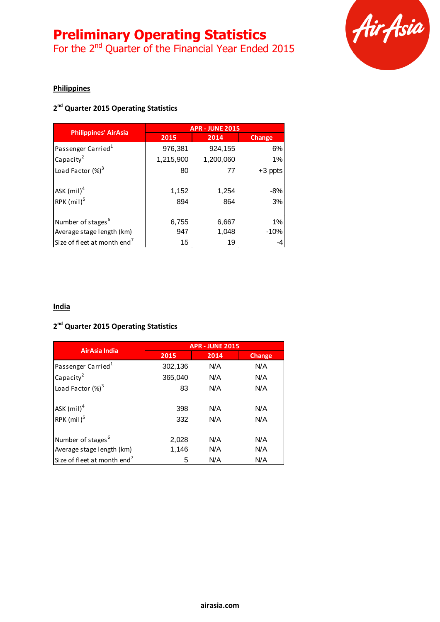# **Preliminary Operating Statistics**

For the 2<sup>nd</sup> Quarter of the Financial Year Ended 2015



### **Philippines**

# **2 nd Quarter 2015 Operating Statistics**

|                                         | <b>APR - JUNE 2015</b> |           |         |
|-----------------------------------------|------------------------|-----------|---------|
| <b>Philippines' AirAsia</b>             | 2015                   | 2014      | Change  |
| Passenger Carried <sup>1</sup>          | 976,381                | 924,155   | 6%      |
| Capacity <sup>2</sup>                   | 1,215,900              | 1,200,060 | 1%      |
| Load Factor $(\%)^3$                    | 80                     | 77        | +3 ppts |
| ASK $(mil)^4$                           | 1,152                  | 1,254     | $-8%$   |
| RPK $(mil)^5$                           | 894                    | 864       | 3%      |
| Number of stages <sup>6</sup>           | 6,755                  | 6,667     | 1%      |
| Average stage length (km)               | 947                    | 1,048     | $-10%$  |
| Size of fleet at month end <sup>7</sup> | 15                     | 19        |         |

# **India**

#### **2 nd Quarter 2015 Operating Statistics**

| AirAsia India                                              | <b>APR - JUNE 2015</b> |            |            |  |  |
|------------------------------------------------------------|------------------------|------------|------------|--|--|
|                                                            | 2015                   | 2014       | Change     |  |  |
| Passenger Carried <sup>1</sup>                             | 302,136                | N/A        | N/A        |  |  |
| Capacity <sup>2</sup>                                      | 365,040                | N/A        | N/A        |  |  |
| Load Factor $(%)^3$                                        | 83                     | N/A        | N/A        |  |  |
| ASK $(mil)^4$<br>RPK $(mil)^5$                             | 398<br>332             | N/A<br>N/A | N/A<br>N/A |  |  |
| Number of stages <sup>6</sup><br>Average stage length (km) | 2,028<br>1,146         | N/A<br>N/A | N/A<br>N/A |  |  |
| Size of fleet at month end <sup>7</sup>                    | N/A<br>N/A<br>5        |            |            |  |  |